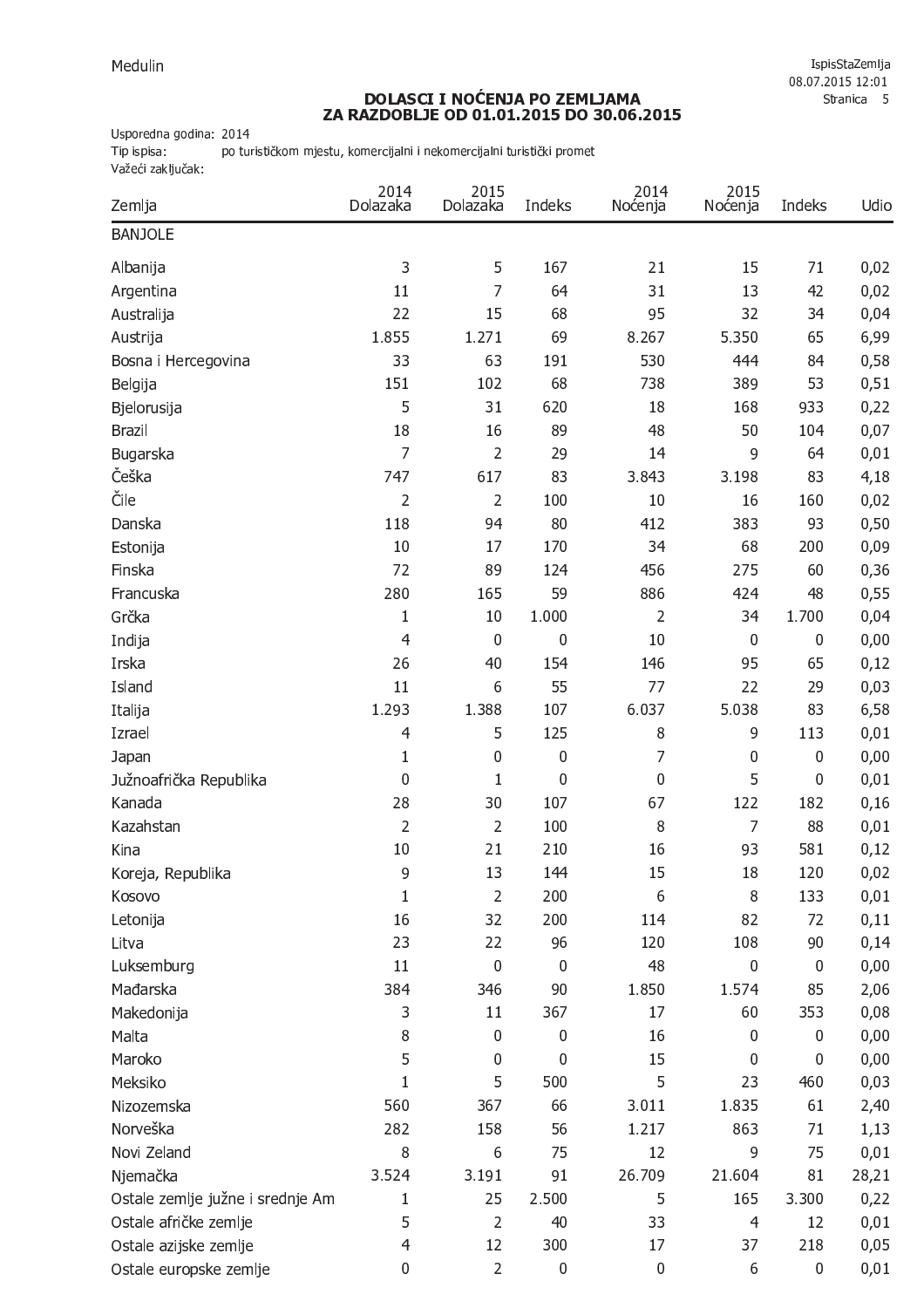## DOLASCI I NOĆENJA PO ZEMLJAMA<br>ZA RAZDOBLJE OD 01.01.2015 DO 30.06.2015

Usporedna godina: 2014

Tip ispisa: po turističkom mjestu, komercijalni i nekomercijalni turistički promet važeći zaključak:

| Zemlja                           | 2014<br>Dolazaka | 2015<br>Dolazaka | Indeks    | 2014<br>Noćenja | 2015<br>Noćenja | Indeks      | Udio  |
|----------------------------------|------------------|------------------|-----------|-----------------|-----------------|-------------|-------|
| <b>BANJOLE</b>                   |                  |                  |           |                 |                 |             |       |
| Albanija                         | 3                | 5                | 167       | 21              | 15              | 71          | 0,02  |
| Argentina                        | 11               | 7                | 64        | 31              | 13              | 42          | 0,02  |
| Australija                       | 22               | 15               | 68        | 95              | 32              | 34          | 0,04  |
| Austrija                         | 1.855            | 1.271            | 69        | 8.267           | 5.350           | 65          | 6,99  |
| Bosna i Hercegovina              | 33               | 63               | 191       | 530             | 444             | 84          | 0,58  |
| Belgija                          | 151              | 102              | 68        | 738             | 389             | 53          | 0,51  |
| Bjelorusija                      | 5                | 31               | 620       | 18              | 168             | 933         | 0,22  |
| <b>Brazil</b>                    | 18               | 16               | 89        | 48              | 50              | 104         | 0,07  |
| Bugarska                         | 7                | $\overline{2}$   | 29        | 14              | 9               | 64          | 0,01  |
| Češka                            | 747              | 617              | 83        | 3.843           | 3.198           | 83          | 4,18  |
| Čile                             | $\overline{2}$   | $\overline{2}$   | 100       | 10              | 16              | 160         | 0,02  |
| Danska                           | 118              | 94               | 80        | 412             | 383             | 93          | 0,50  |
| Estonija                         | 10               | 17               | 170       | 34              | 68              | 200         | 0,09  |
| Finska                           | 72               | 89               | 124       | 456             | 275             | 60          | 0,36  |
| Francuska                        | 280              | 165              | 59        | 886             | 424             | 48          | 0,55  |
| Grčka                            | $\mathbf{1}$     | 10               | 1.000     | $\overline{2}$  | 34              | 1.700       | 0,04  |
| Indija                           | 4                | 0                | 0         | 10              | $\mathbf 0$     | $\mathbf 0$ | 0,00  |
| Irska                            | 26               | 40               | 154       | 146             | 95              | 65          | 0,12  |
| Island                           | 11               | 6                | 55        | 77              | 22              | 29          | 0,03  |
| Italija                          | 1.293            | 1.388            | 107       | 6.037           | 5.038           | 83          | 6,58  |
| Izrael                           | 4                | 5                | 125       | 8               | 9               | 113         | 0,01  |
| Japan                            | $\mathbf{1}$     | 0                | 0         | 7               | $\mathbf 0$     | $\mathbf 0$ | 0,00  |
| Južnoafrička Republika           | 0                | $\mathbf{1}$     | 0         | 0               | 5               | $\mathbf 0$ | 0,01  |
| Kanada                           | 28               | 30               | 107       | 67              | 122             | 182         | 0,16  |
| Kazahstan                        | $\overline{2}$   | $\overline{2}$   | 100       | 8               | $\overline{7}$  | 88          | 0,01  |
| Kina                             | 10               | 21               | 210       | 16              | 93              | 581         | 0,12  |
| Koreja, Republika                | 9                | 13               | 144       | 15              | 18              | 120         | 0,02  |
| Kosovo                           | $\mathbf{1}$     | $\overline{2}$   | 200       | 6               | 8               | 133         | 0,01  |
| Letonija                         | 16               | 32               | 200       | 114             | 82              | 72          | 0,11  |
| Litva                            | 23               | 22               | 96        | 120             | 108             | 90          | 0,14  |
| Luksemburg                       | 11               | 0                | 0         | 48              | 0               | $\mathbf 0$ | 0,00  |
| Mađarska                         | 384              | 346              | 90        | 1.850           | 1.574           | 85          | 2,06  |
| Makedonija                       | 3                | 11               | 367       | 17              | 60              | 353         | 0,08  |
| Malta                            | 8                | $\mathbf 0$      | 0         | 16              | 0               | $\mathbf 0$ | 0,00  |
| Maroko                           | 5                | 0                | 0         | 15              | $\mathbf 0$     | $\mathbf 0$ | 0,00  |
| Meksiko                          | $\mathbf{1}$     | 5                | 500       | 5               | 23              | 460         | 0,03  |
| Nizozemska                       | 560              | 367              | 66        | 3.011           | 1.835           | 61          | 2,40  |
| Norveška                         | 282              | 158              | 56        | 1.217           | 863             | 71          | 1,13  |
| Novi Zeland                      | 8                | 6                | 75        | 12              | 9               | 75          | 0,01  |
| Njemačka                         | 3.524            | 3.191            | 91        | 26.709          | 21.604          | 81          | 28,21 |
| Ostale zemlje južne i srednje Am | 1                | 25               | 2.500     | 5               | 165             | 3.300       | 0,22  |
| Ostale afričke zemlje            | 5                | $\overline{2}$   | 40        | 33              | $\overline{4}$  | 12          | 0,01  |
| Ostale azijske zemlje            | 4                | 12               | 300       | 17              | 37              | 218         | 0,05  |
| Ostale europske zemlje           | $\pmb{0}$        | $\overline{2}$   | $\pmb{0}$ | $\pmb{0}$       | 6               | $\bf{0}$    | 0,01  |